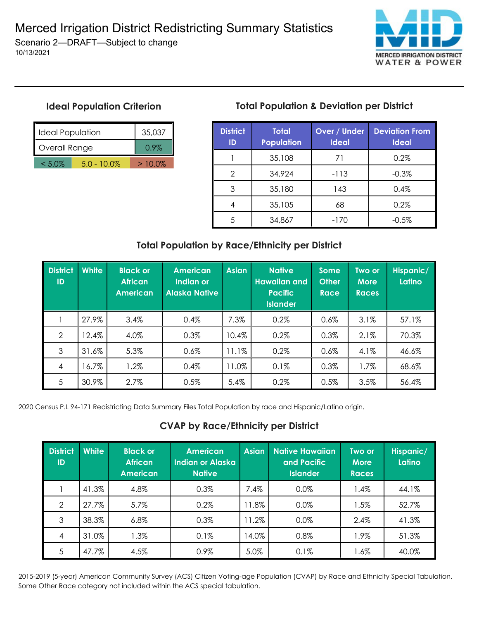**MERCED IRRIGATION DISTRICT WATER & POWER** 

## **Ideal Population Criterion**

10/13/2021

| Ideal Population | 35,037         |           |
|------------------|----------------|-----------|
| Overall Range    | $0.9\%$        |           |
| $< 5.0\%$        | $5.0 - 10.0\%$ | $>10.0\%$ |

# **Total Population & Deviation per District**

| <b>District</b><br>ID | <b>Total</b><br><b>Population</b> | <b>Over / Under</b><br><b>Ideal</b> | <b>Deviation From</b><br><b>Ideal</b> |  |
|-----------------------|-----------------------------------|-------------------------------------|---------------------------------------|--|
|                       | 35,108                            | 71                                  | 0.2%                                  |  |
| 2                     | 34,924                            | $-113$                              | $-0.3%$                               |  |
| 3                     | 35,180                            | 143                                 | 0.4%                                  |  |
|                       | 35,105                            | 68                                  | 0.2%                                  |  |
|                       | 34,867                            | -170                                | $-0.5%$                               |  |

## **Total Population by Race/Ethnicity per District**

| <b>District</b><br>ID | <b>White</b> | <b>Black or</b><br><b>African</b><br><b>American</b> | <b>American</b><br>Indian or<br><b>Alaska Native</b> | <b>Asian</b> | <b>Native</b><br><b>Hawaiian and</b><br><b>Pacific</b><br><b>Islander</b> | <b>Some</b><br><b>Other</b><br><b>Race</b> | Two or<br><b>More</b><br><b>Races</b> | Hispanic/<br>Latino |
|-----------------------|--------------|------------------------------------------------------|------------------------------------------------------|--------------|---------------------------------------------------------------------------|--------------------------------------------|---------------------------------------|---------------------|
|                       | 27.9%        | 3.4%                                                 | 0.4%                                                 | 7.3%         | 0.2%                                                                      | $0.6\%$                                    | 3.1%                                  | 57.1%               |
| $\overline{2}$        | 12.4%        | 4.0%                                                 | 0.3%                                                 | 10.4%        | 0.2%                                                                      | 0.3%                                       | 2.1%                                  | 70.3%               |
| 3                     | 31.6%        | 5.3%                                                 | 0.6%                                                 | 11.1%        | 0.2%                                                                      | 0.6%                                       | 4.1%                                  | 46.6%               |
| 4                     | 16.7%        | 1.2%                                                 | 0.4%                                                 | 11.0%        | 0.1%                                                                      | 0.3%                                       | 1.7%                                  | 68.6%               |
| 5                     | 30.9%        | 2.7%                                                 | 0.5%                                                 | 5.4%         | 0.2%                                                                      | 0.5%                                       | 3.5%                                  | 56.4%               |

2020 Census P.L 94-171 Redistricting Data Summary Files Total Population by race and Hispanic/Latino origin.

### **CVAP by Race/Ethnicity per District**

| <b>District</b><br>ID | White | <b>Black or</b><br><b>African</b><br><b>American</b> | <b>American</b><br>Indian or Alaska<br><b>Native</b> | <b>Asian</b> | <b>Native Hawaiian</b><br>and Pacific<br><b>Islander</b> | Two or<br><b>More</b><br><b>Races</b> | Hispanic/<br>Latino |
|-----------------------|-------|------------------------------------------------------|------------------------------------------------------|--------------|----------------------------------------------------------|---------------------------------------|---------------------|
|                       | 41.3% | 4.8%                                                 | $0.3\%$                                              | 7.4%         | 0.0%                                                     | 1.4%                                  | 44.1%               |
| 2                     | 27.7% | 5.7%                                                 | 0.2%                                                 | 1.8%         | 0.0%                                                     | 1.5%                                  | 52.7%               |
| 3                     | 38.3% | 6.8%                                                 | 0.3%                                                 | 1.2%         | 0.0%                                                     | 2.4%                                  | 41.3%               |
| $\overline{4}$        | 31.0% | 1.3%                                                 | 0.1%                                                 | 14.0%        | 0.8%                                                     | 1.9%                                  | 51.3%               |
| 5                     | 47.7% | 4.5%                                                 | 0.9%                                                 | 5.0%         | 0.1%                                                     | $1.6\%$                               | 40.0%               |

2015-2019 (5-year) American Community Survey (ACS) Citizen Voting-age Population (CVAP) by Race and Ethnicity Special Tabulation. Some Other Race category not included within the ACS special tabulation.